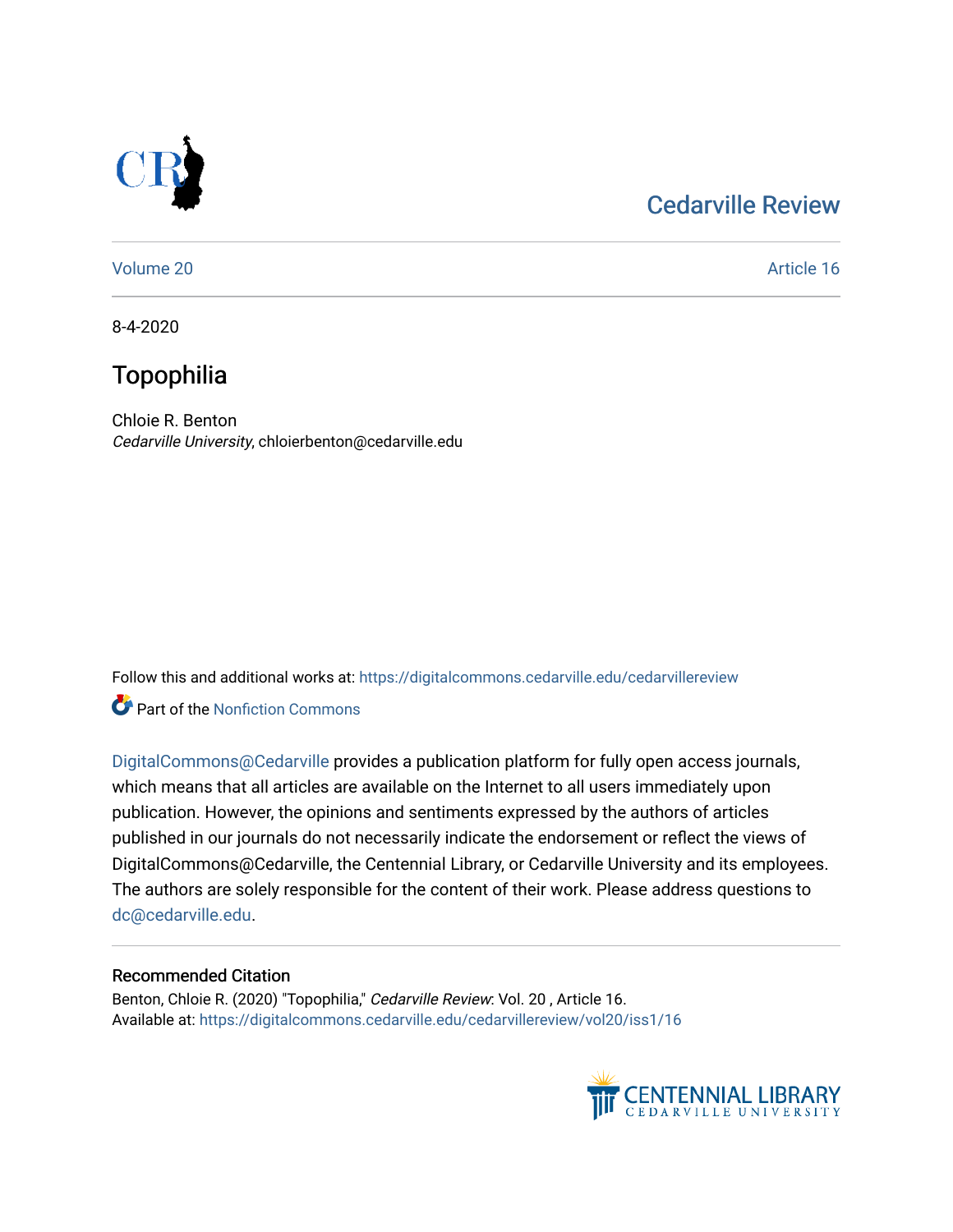# [Cedarville Review](https://digitalcommons.cedarville.edu/cedarvillereview)



[Volume 20](https://digitalcommons.cedarville.edu/cedarvillereview/vol20) Article 16

8-4-2020

# Topophilia

Chloie R. Benton Cedarville University, chloierbenton@cedarville.edu

Follow this and additional works at: [https://digitalcommons.cedarville.edu/cedarvillereview](https://digitalcommons.cedarville.edu/cedarvillereview?utm_source=digitalcommons.cedarville.edu%2Fcedarvillereview%2Fvol20%2Fiss1%2F16&utm_medium=PDF&utm_campaign=PDFCoverPages) 

**C** Part of the Nonfiction Commons

[DigitalCommons@Cedarville](http://digitalcommons.cedarville.edu/) provides a publication platform for fully open access journals, which means that all articles are available on the Internet to all users immediately upon publication. However, the opinions and sentiments expressed by the authors of articles published in our journals do not necessarily indicate the endorsement or reflect the views of DigitalCommons@Cedarville, the Centennial Library, or Cedarville University and its employees. The authors are solely responsible for the content of their work. Please address questions to [dc@cedarville.edu.](mailto:dc@cedarville.edu)

#### Recommended Citation

Benton, Chloie R. (2020) "Topophilia," Cedarville Review: Vol. 20 , Article 16. Available at: [https://digitalcommons.cedarville.edu/cedarvillereview/vol20/iss1/16](https://digitalcommons.cedarville.edu/cedarvillereview/vol20/iss1/16?utm_source=digitalcommons.cedarville.edu%2Fcedarvillereview%2Fvol20%2Fiss1%2F16&utm_medium=PDF&utm_campaign=PDFCoverPages)

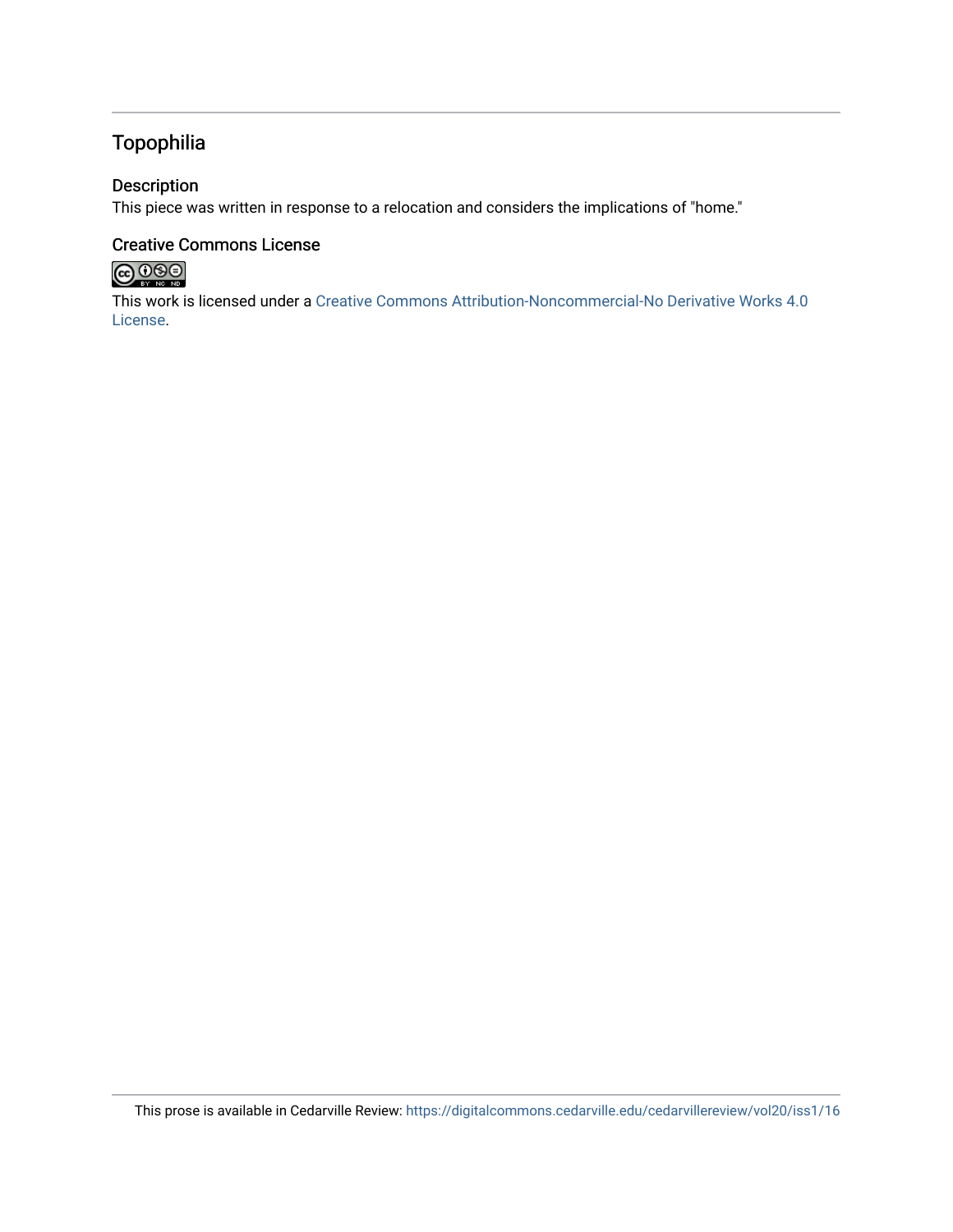## Topophilia

### Description

This piece was written in response to a relocation and considers the implications of "home."

#### Creative Commons License



This work is licensed under a [Creative Commons Attribution-Noncommercial-No Derivative Works 4.0](http://creativecommons.org/licenses/by-nc-nd/4.0/) [License](http://creativecommons.org/licenses/by-nc-nd/4.0/).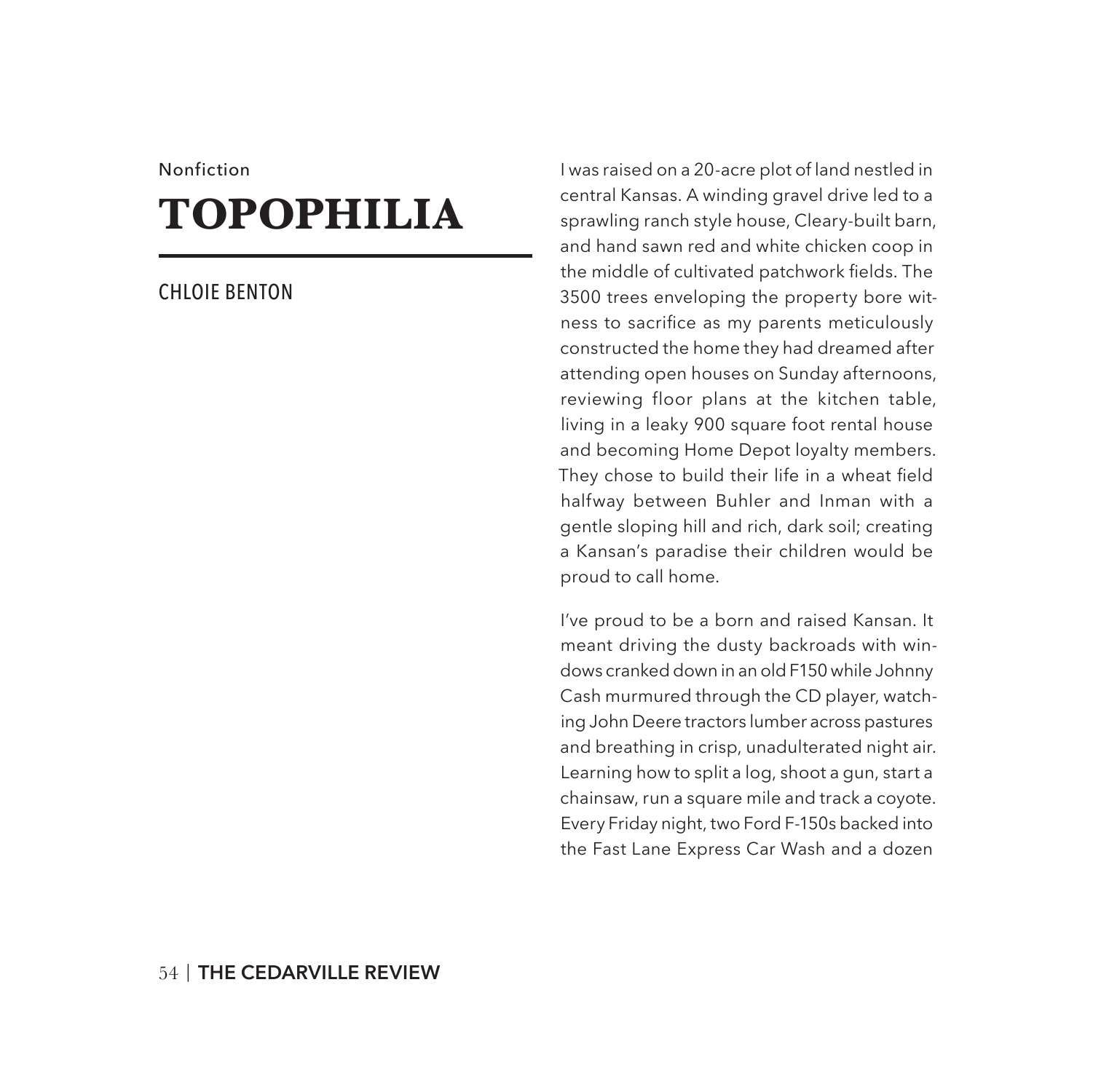#### Nonfiction

# **TOPOPHILIA**

#### CHLOIE BENTON

I was raised on a 20-acre plot of land nestled in central Kansas. A winding gravel drive led to a sprawling ranch style house, Cleary-built barn, and hand sawn red and white chicken coop in the middle of cultivated patchwork fields. The 3500 trees enveloping the property bore witness to sacrifice as my parents meticulously constructed the home they had dreamed after attending open houses on Sunday afternoons, reviewing floor plans at the kitchen table, living in a leaky 900 square foot rental house and becoming Home Depot loyalty members. They chose to build their life in a wheat field halfway between Buhler and Inman with a gentle sloping hill and rich, dark soil; creating a Kansan's paradise their children would be proud to call home.

I've proud to be a born and raised Kansan. It meant driving the dusty backroads with windows cranked down in an old F150 while Johnny Cash murmured through the CD player, watching John Deere tractors lumber across pastures and breathing in crisp, unadulterated night air. Learning how to split a log, shoot a gun, start a chainsaw, run a square mile and track a coyote. Every Friday night, two Ford F-150s backed into the Fast Lane Express Car Wash and a dozen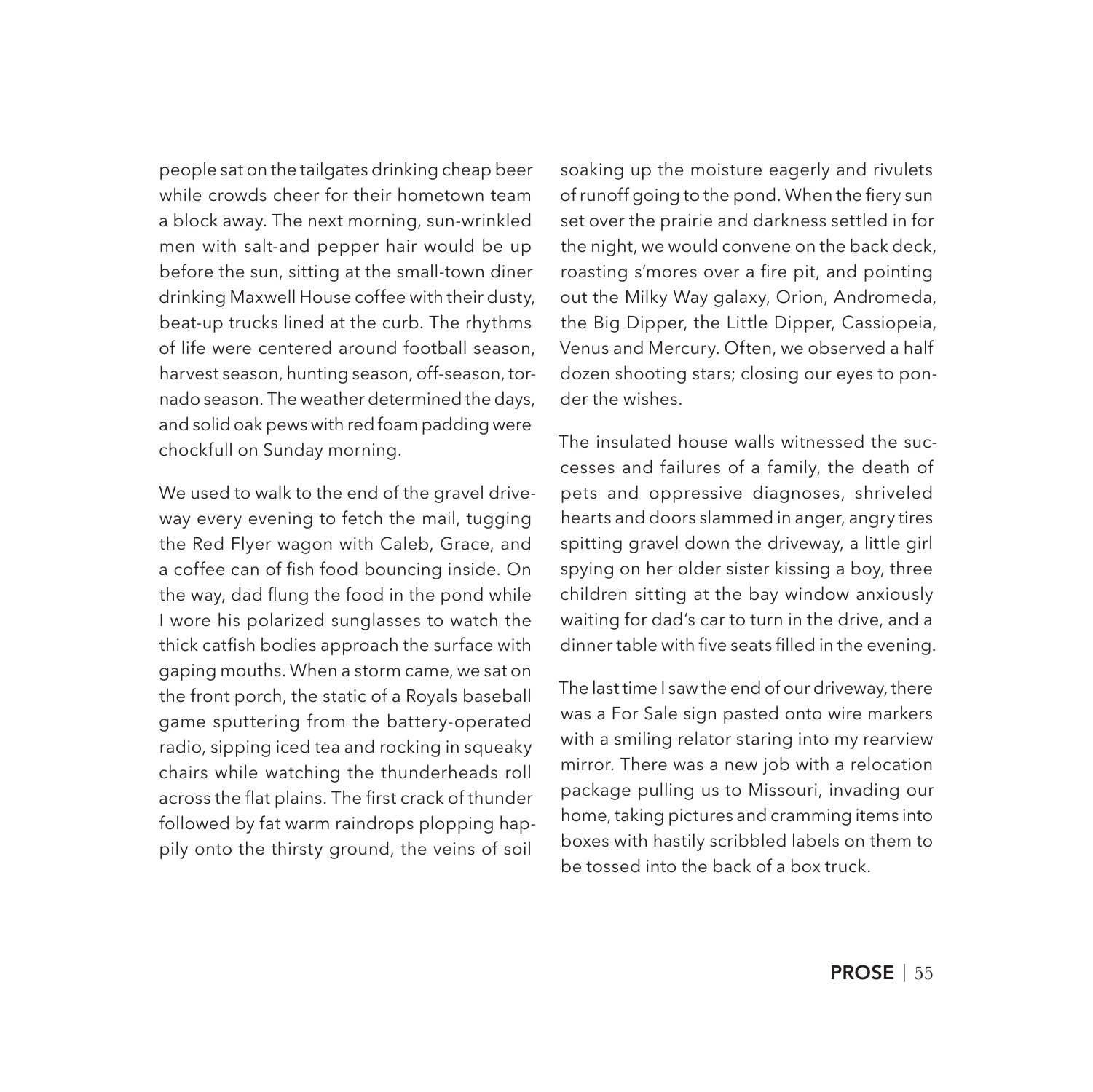people sat on the tailgates drinking cheap beer while crowds cheer for their hometown team a block away. The next morning, sun-wrinkled men with salt-and pepper hair would be up before the sun, sitting at the small-town diner drinking Maxwell House coffee with their dusty, beat-up trucks lined at the curb. The rhythms of life were centered around football season, harvest season, hunting season, off-season, tornado season. The weather determined the days, and solid oak pews with red foam padding were chockfull on Sunday morning.

We used to walk to the end of the gravel driveway every evening to fetch the mail, tugging the Red Flyer wagon with Caleb, Grace, and a coffee can of fish food bouncing inside. On the way, dad flung the food in the pond while I wore his polarized sunglasses to watch the thick catfish bodies approach the surface with gaping mouths. When a storm came, we sat on the front porch, the static of a Royals baseball game sputtering from the battery-operated radio, sipping iced tea and rocking in squeaky chairs while watching the thunderheads roll across the flat plains. The first crack of thunder followed by fat warm raindrops plopping happily onto the thirsty ground, the veins of soil

soaking up the moisture eagerly and rivulets of runoff going to the pond. When the fiery sun set over the prairie and darkness settled in for the night, we would convene on the back deck, roasting s'mores over a fire pit, and pointing out the Milky Way galaxy, Orion, Andromeda, the Big Dipper, the Little Dipper, Cassiopeia, Venus and Mercury. Often, we observed a half dozen shooting stars; closing our eyes to ponder the wishes.

The insulated house walls witnessed the successes and failures of a family, the death of pets and oppressive diagnoses, shriveled hearts and doors slammed in anger, angry tires spitting gravel down the driveway, a little girl spying on her older sister kissing a boy, three children sitting at the bay window anxiously waiting for dad's car to turn in the drive, and a dinner table with five seats filled in the evening.

The last time I saw the end of our driveway, there was a For Sale sign pasted onto wire markers with a smiling relator staring into my rearview mirror. There was a new job with a relocation package pulling us to Missouri, invading our home, taking pictures and cramming items into boxes with hastily scribbled labels on them to be tossed into the back of a box truck.